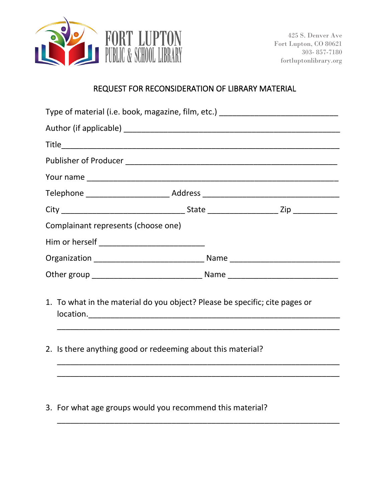

## REQUEST FOR RECONSIDERATION OF LIBRARY MATERIAL

| Type of material (i.e. book, magazine, film, etc.) _____________________________ |  |
|----------------------------------------------------------------------------------|--|
|                                                                                  |  |
|                                                                                  |  |
|                                                                                  |  |
|                                                                                  |  |
|                                                                                  |  |
|                                                                                  |  |
| Complainant represents (choose one)                                              |  |
|                                                                                  |  |
|                                                                                  |  |
|                                                                                  |  |
| 1. To what in the material do you object? Please be specific; cite pages or      |  |
| 2. Is there anything good or redeeming about this material?                      |  |
|                                                                                  |  |

\_\_\_\_\_\_\_\_\_\_\_\_\_\_\_\_\_\_\_\_\_\_\_\_\_\_\_\_\_\_\_\_\_\_\_\_\_\_\_\_\_\_\_\_\_\_\_\_\_\_\_\_\_\_\_\_\_\_\_\_\_\_\_\_

3. For what age groups would you recommend this material?